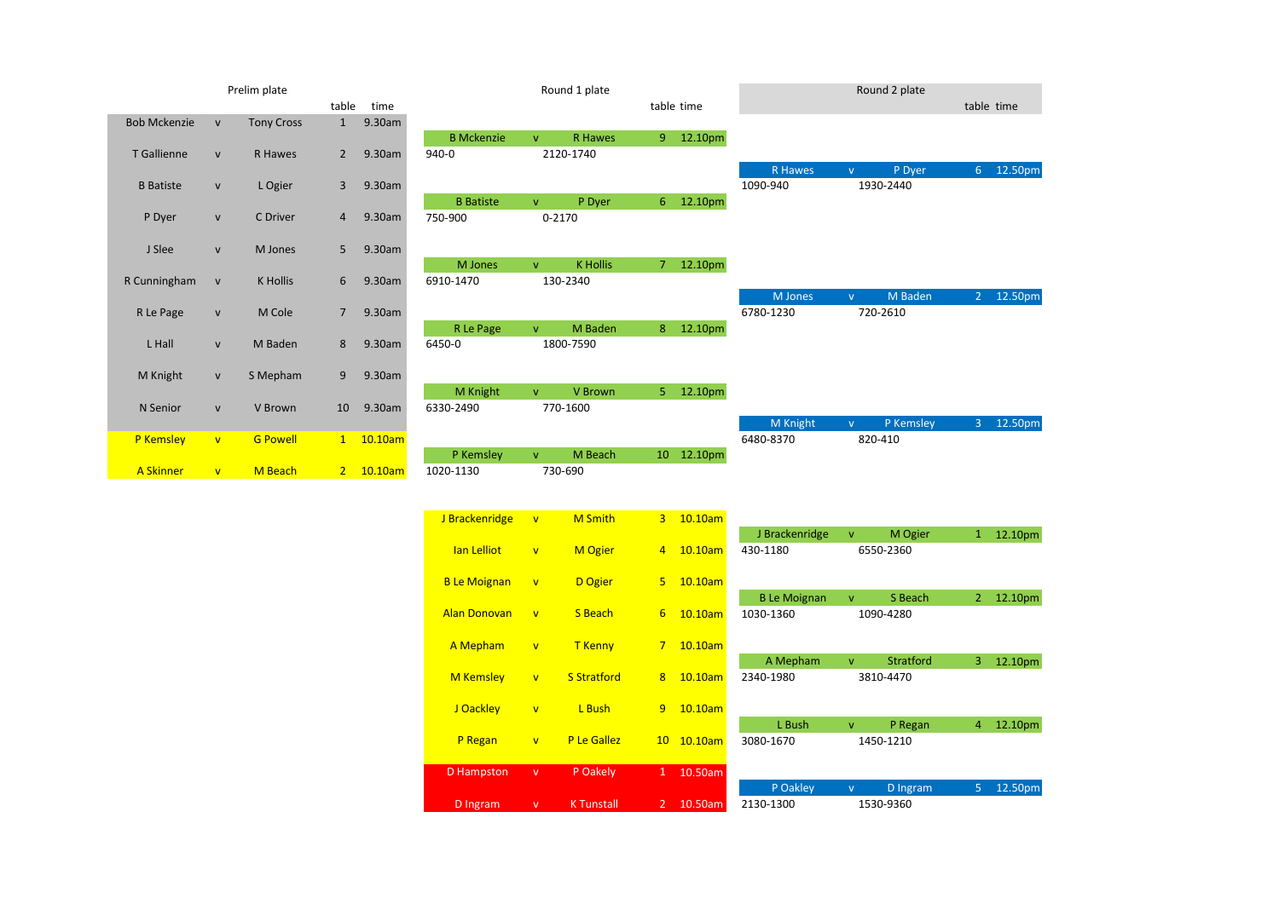|                     |                         | Prelim plate      |                |           |                   |              | Round 1 plate   |                |            |                |          | Round 2 plate |                |         |
|---------------------|-------------------------|-------------------|----------------|-----------|-------------------|--------------|-----------------|----------------|------------|----------------|----------|---------------|----------------|---------|
|                     |                         |                   | table          | time      |                   |              |                 |                | table time |                |          |               | table time     |         |
| <b>Bob Mckenzie</b> | $\mathsf{v}$            | <b>Tony Cross</b> | $\mathbf{1}$   | 9.30am    |                   |              |                 |                |            |                |          |               |                |         |
|                     |                         |                   |                |           | <b>B</b> Mckenzie | V            | R Hawes         | 9              | 12.10pm    |                |          |               |                |         |
| T Gallienne         | ${\sf v}$               | R Hawes           | $\overline{2}$ | 9.30am    | 940-0             |              | 2120-1740       |                |            |                |          |               |                |         |
|                     |                         |                   |                |           |                   |              |                 |                |            | <b>R</b> Hawes | v.       | P Dyer        | 6 <sub>7</sub> | 12.50pm |
| <b>B</b> Batiste    | ${\sf v}$               | L Ogier           | 3              | 9.30am    |                   |              |                 |                |            | 1090-940       |          | 1930-2440     |                |         |
|                     |                         |                   |                |           | <b>B</b> Batiste  | $\mathbf{V}$ | P Dyer          | 6 <sup>1</sup> | 12.10pm    |                |          |               |                |         |
| P Dyer              | ${\sf v}$               | C Driver          | 4              | 9.30am    | 750-900           |              | 0-2170          |                |            |                |          |               |                |         |
|                     |                         |                   |                |           |                   |              |                 |                |            |                |          |               |                |         |
| J Slee              | ${\sf v}$               | M Jones           | 5              | 9.30am    |                   |              |                 |                |            |                |          |               |                |         |
|                     |                         |                   |                |           | M Jones           | $\mathbf{V}$ | <b>K</b> Hollis | 7 <sup>7</sup> | 12.10pm    |                |          |               |                |         |
| R Cunningham        | $\mathsf{v}$            | K Hollis          | 6              | 9.30am    | 6910-1470         |              | 130-2340        |                |            |                |          |               |                |         |
|                     |                         |                   |                |           |                   |              |                 |                |            | <b>M</b> Jones | v.       | M Baden       | $\overline{2}$ | 12.50pm |
| R Le Page           | ${\sf v}$               | M Cole            | $\overline{7}$ | 9.30am    |                   |              |                 |                |            | 6780-1230      |          | 720-2610      |                |         |
|                     |                         |                   |                |           | R Le Page         | $\mathbf{V}$ | M Baden         | 8              | 12.10pm    |                |          |               |                |         |
| L Hall              | $\mathsf{V}$            | M Baden           | 8              | 9.30am    | 6450-0            |              | 1800-7590       |                |            |                |          |               |                |         |
|                     |                         |                   |                |           |                   |              |                 |                |            |                |          |               |                |         |
| M Knight            | ${\sf v}$               | S Mepham          | 9              | 9.30am    |                   |              |                 |                |            |                |          |               |                |         |
|                     |                         |                   |                |           | M Knight          | $\mathbf{V}$ | V Brown         | 5 <sup>1</sup> | 12.10pm    |                |          |               |                |         |
| N Senior            | ${\sf v}$               | V Brown           | 10             | 9.30am    | 6330-2490         |              | 770-1600        |                |            |                |          |               |                |         |
|                     |                         |                   |                |           |                   |              |                 |                |            | M Knight       | <b>V</b> | P Kemsley     | $\overline{3}$ | 12.50pm |
| P Kemsley           | $\mathbf{v}$            | <b>G Powell</b>   |                | 1 10.10am |                   |              |                 |                |            | 6480-8370      |          | 820-410       |                |         |
|                     |                         |                   |                |           | P Kemsley         | $\mathbf{V}$ | M Beach         | $10-10$        | 12.10pm    |                |          |               |                |         |
| <b>A Skinner</b>    | $\overline{\mathsf{v}}$ | M Beach           |                | 2 10.10am | 1020-1130         |              | 730-690         |                |            |                |          |               |                |         |
|                     |                         |                   |                |           |                   |              |                 |                |            |                |          |               |                |         |

| J Brackenridge      | $\overline{V}$          | <b>M</b> Smith     | 3               | 10.10am |                     |              |                  |                |         |
|---------------------|-------------------------|--------------------|-----------------|---------|---------------------|--------------|------------------|----------------|---------|
|                     |                         |                    |                 |         | J Brackenridge      | $\mathbf{V}$ | M Ogier          | 1              | 12.10pm |
| lan Lelliot         | $\overline{\mathsf{v}}$ | <b>M</b> Ogier     | $\overline{4}$  | 10.10am | 430-1180            |              | 6550-2360        |                |         |
| <b>B</b> Le Moignan | $\overline{\mathsf{v}}$ | D Ogier            | 5.              | 10.10am |                     |              |                  |                |         |
|                     |                         |                    |                 |         | <b>B</b> Le Moignan | $\mathbf v$  | S Beach          | $\overline{2}$ | 12.10pm |
| <b>Alan Donovan</b> | $\overline{\mathsf{v}}$ | S Beach            | 6               | 10.10am | 1030-1360           |              | 1090-4280        |                |         |
| A Mepham            | $\mathbf{V}$            | <b>T</b> Kenny     | $7\overline{ }$ | 10.10am |                     |              |                  |                |         |
|                     |                         |                    |                 |         | A Mepham            | v            | <b>Stratford</b> | 3              | 12.10pm |
| <b>M</b> Kemsley    | $\overline{\mathsf{v}}$ | <b>S</b> Stratford | 8               | 10.10am | 2340-1980           |              | 3810-4470        |                |         |
| J Oackley           | $\overline{\mathsf{v}}$ | L Bush             | 9               | 10.10am |                     |              |                  |                |         |
|                     |                         |                    |                 |         | L Bush              | $\mathbf v$  | P Regan          | 4              | 12.10pm |
| P Regan             | $\overline{\mathsf{v}}$ | P Le Gallez        | 10 <sup>°</sup> | 10.10am | 3080-1670           |              | 1450-1210        |                |         |
|                     |                         |                    |                 |         |                     |              |                  |                |         |
| D Hampston          | $\mathsf{V}$            | P Oakely           | $\mathbf{1}$    | 10.50am |                     |              |                  |                |         |
|                     |                         |                    |                 |         | P Oakley            | $\mathsf{V}$ | D Ingram         | $\overline{5}$ | 12.50pm |
| D Ingram            | v                       | <b>K</b> Tunstall  | $\overline{2}$  | 10.50am | 2130-1300           |              | 1530-9360        |                |         |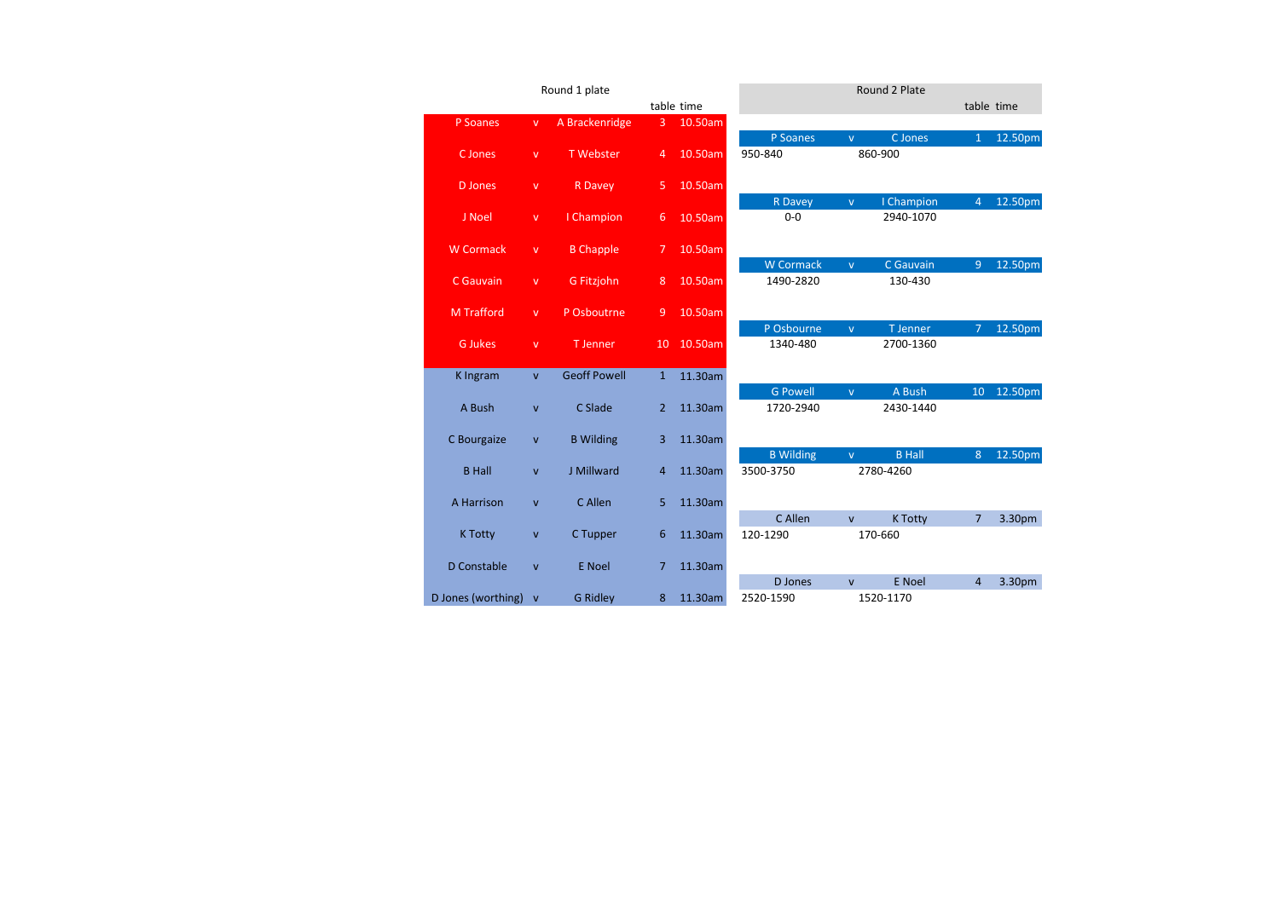|                      |              | Round 1 plate       |                |            |                               |              | Round 2 Plate        |                |         |
|----------------------|--------------|---------------------|----------------|------------|-------------------------------|--------------|----------------------|----------------|---------|
|                      |              |                     |                | table time |                               |              |                      | table time     |         |
| P Soanes             | $\mathsf{v}$ | A Brackenridge      | $\overline{3}$ | 10.50am    |                               |              |                      |                |         |
|                      |              |                     |                |            | P Soanes                      | v.           | C Jones              | $\mathbf{1}$   | 12.50pm |
| C Jones              | $\mathsf{V}$ | <b>T</b> Webster    | $\overline{4}$ | 10.50am    | 950-840                       |              | 860-900              |                |         |
|                      |              |                     |                |            |                               |              |                      |                |         |
| <b>D</b> Jones       | $\mathsf{v}$ | <b>R</b> Davey      | 5              | 10.50am    |                               |              |                      |                |         |
|                      |              |                     |                |            | R Davey                       | v.           | I Champion           | $\overline{4}$ | 12.50pm |
| J Noel               | $\mathsf{V}$ | I Champion          | 6              | 10.50am    | $0 - 0$                       |              | 2940-1070            |                |         |
|                      |              |                     |                |            |                               |              |                      |                |         |
| <b>W</b> Cormack     | $\mathsf{V}$ | <b>B</b> Chapple    | 7              | 10.50am    |                               |              |                      |                |         |
| C Gauvain            |              |                     |                |            | <b>W</b> Cormack<br>1490-2820 | $\mathsf{V}$ | C Gauvain<br>130-430 | $\overline{9}$ | 12.50pm |
|                      | $\mathsf{V}$ | G Fitzjohn          | 8              | 10.50am    |                               |              |                      |                |         |
| <b>M Trafford</b>    | $\mathsf{v}$ | P Osboutrne         | 9              | 10.50am    |                               |              |                      |                |         |
|                      |              |                     |                |            | P Osbourne                    | $\mathsf{V}$ | T Jenner             | $\overline{7}$ | 12.50pm |
| <b>G</b> Jukes       | $\mathsf{v}$ | <b>T</b> Jenner     | 10             | 10.50am    | 1340-480                      |              | 2700-1360            |                |         |
|                      |              |                     |                |            |                               |              |                      |                |         |
| K Ingram             | $\mathbf{v}$ | <b>Geoff Powell</b> | $\mathbf{1}$   | 11.30am    |                               |              |                      |                |         |
|                      |              |                     |                |            | <b>G Powell</b>               | $\mathsf{V}$ | A Bush               | 10             | 12.50pm |
| A Bush               | $\mathsf{v}$ | C Slade             | $\overline{2}$ | 11.30am    | 1720-2940                     |              | 2430-1440            |                |         |
|                      |              |                     |                |            |                               |              |                      |                |         |
| C Bourgaize          | $\mathsf{v}$ | <b>B</b> Wilding    | 3              | 11.30am    |                               |              |                      |                |         |
|                      |              |                     |                |            | <b>B</b> Wilding              | v.           | <b>B Hall</b>        | 8              | 12.50pm |
| <b>B</b> Hall        | $\mathbf{v}$ | J Millward          | 4              | 11.30am    | 3500-3750                     |              | 2780-4260            |                |         |
|                      |              |                     |                |            |                               |              |                      |                |         |
| A Harrison           | $\mathsf{v}$ | C Allen             | 5              | 11.30am    |                               |              |                      |                |         |
|                      |              |                     |                |            | C Allen                       | $\mathbf{v}$ | <b>K Totty</b>       | $\overline{7}$ | 3.30pm  |
| <b>K Totty</b>       | $\mathsf{v}$ | C Tupper            | 6              | 11.30am    | 120-1290                      |              | 170-660              |                |         |
|                      |              |                     |                |            |                               |              |                      |                |         |
| D Constable          | $\mathsf{v}$ | E Noel              | 7              | 11.30am    |                               |              |                      |                |         |
|                      |              |                     |                |            | D Jones                       | $\mathsf{v}$ | <b>E</b> Noel        | $\overline{4}$ | 3.30pm  |
| D Jones (worthing) v |              | <b>G Ridley</b>     | 8              | 11.30am    | 2520-1590                     |              | 1520-1170            |                |         |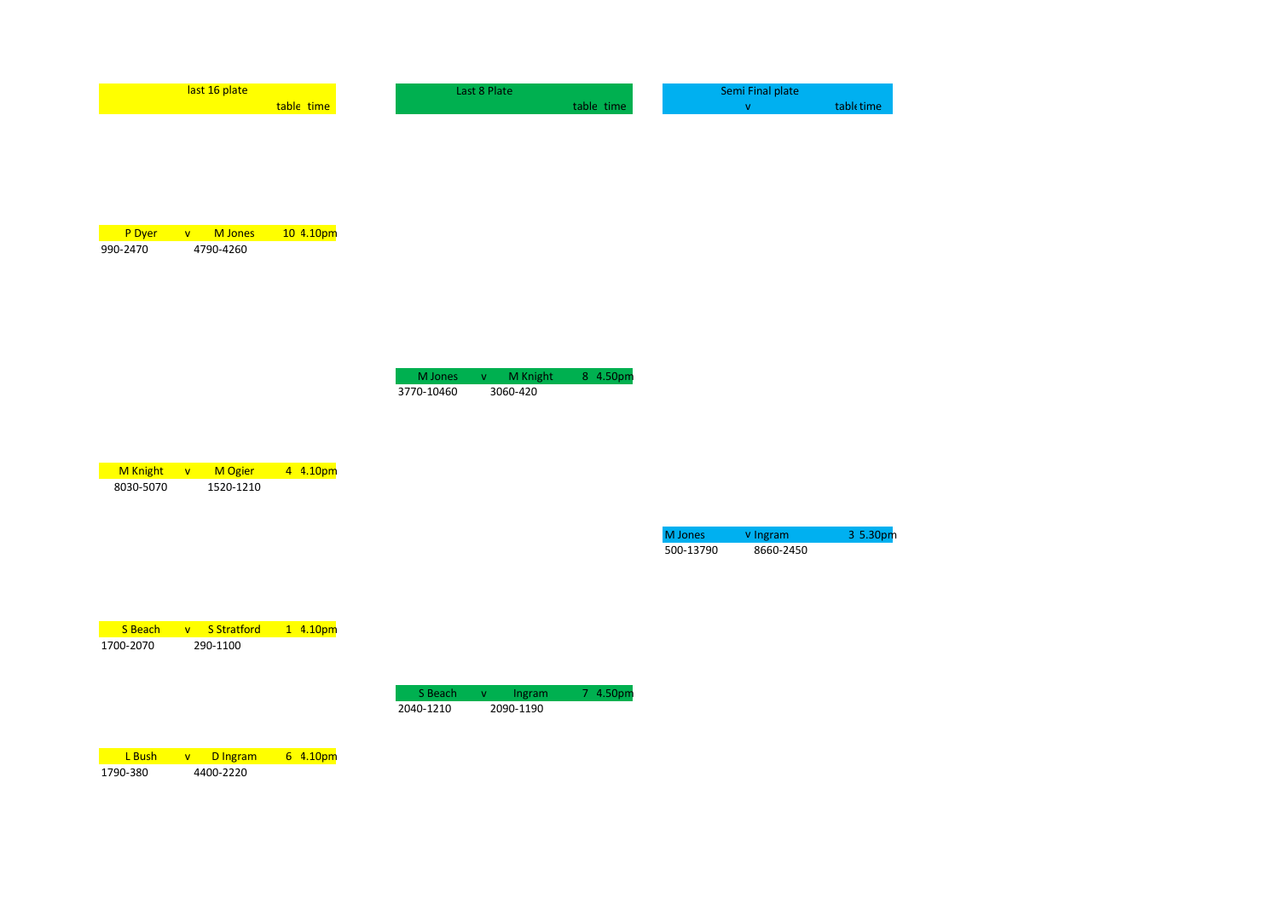| last 16 plate | Last 8 Plate | Semi Final plate |
|---------------|--------------|------------------|
| table time    | table time   | table time       |
|               |              |                  |

| <b>P</b> Dyer | M Jones   | 104.10 <sub>pm</sub> |
|---------------|-----------|----------------------|
| 990-2470      | 4790-4260 |                      |

| M Jones    | M | M Knight | 8 4.50pm |
|------------|---|----------|----------|
| 3770-10460 |   | 3060-420 |          |

| <b>M</b> Knight | $\mathbf{v}$ | <b>M</b> Ogier | 4 4.10pm |
|-----------------|--------------|----------------|----------|
| 8030-5070       |              | 1520-1210      |          |

| M Jones   | v Ingram  | 3.5.30 <sub>pm</sub> |
|-----------|-----------|----------------------|
| 500-13790 | 8660-2450 |                      |

| <b>S</b> Beach | <u>v S.Stratford</u> | 14.10 <sub>pm</sub> |
|----------------|----------------------|---------------------|
| 1700-2070      | 290-1100             |                     |

| S Beach   | Ingram    | 7 4.50pm |
|-----------|-----------|----------|
| 2040-1210 | 2090-1190 |          |

**L Bush v D Ingram 6 4.10pm**<br>1790-380 4400-2220  $4400 - 2220$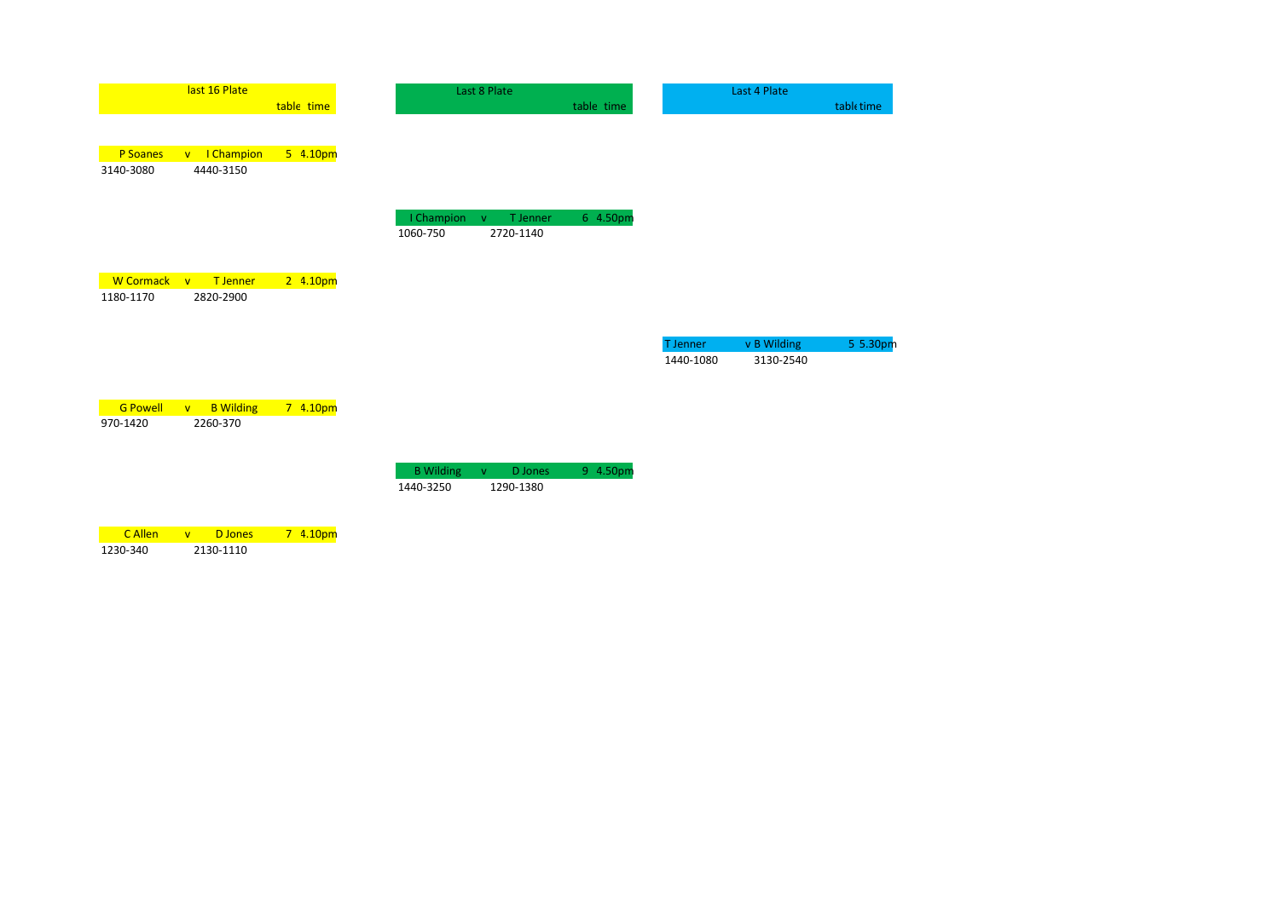|                  | last 16 Plate                             |            |                  | Last 8 Plate             |            |                       | Last 4 Plate             |            |
|------------------|-------------------------------------------|------------|------------------|--------------------------|------------|-----------------------|--------------------------|------------|
|                  |                                           | table time |                  |                          | table time |                       |                          | table time |
| P Soanes         | I Champion<br>V                           | 5 4.10pm   |                  |                          |            |                       |                          |            |
| 3140-3080        | 4440-3150                                 |            |                  |                          |            |                       |                          |            |
|                  |                                           |            | I Champion       | T Jenner<br>$\mathbf{V}$ | 6 4.50pm   |                       |                          |            |
|                  |                                           |            | 1060-750         | 2720-1140                |            |                       |                          |            |
| <b>W</b> Cormack | T Jenner<br>$\mathbf{v}$                  | 2 4.10pm   |                  |                          |            |                       |                          |            |
| 1180-1170        | 2820-2900                                 |            |                  |                          |            |                       |                          |            |
|                  |                                           |            |                  |                          |            |                       |                          |            |
|                  |                                           |            |                  |                          |            | T Jenner<br>1440-1080 | v B Wilding<br>3130-2540 | 5 5.30pm   |
| <b>G Powell</b>  | <b>B</b> Wilding<br>$\mathbf{V}$          | 7 4.10pm   |                  |                          |            |                       |                          |            |
| 970-1420         | 2260-370                                  |            |                  |                          |            |                       |                          |            |
|                  |                                           |            | <b>B</b> Wilding | D Jones<br>$\mathbf{V}$  | 9 4.50pm   |                       |                          |            |
|                  |                                           |            | 1440-3250        | 1290-1380                |            |                       |                          |            |
| C Allen          | <b>D</b> Jones<br>$\overline{\mathsf{v}}$ | 7 4.10pm   |                  |                          |            |                       |                          |            |

1230-340 2130-1110